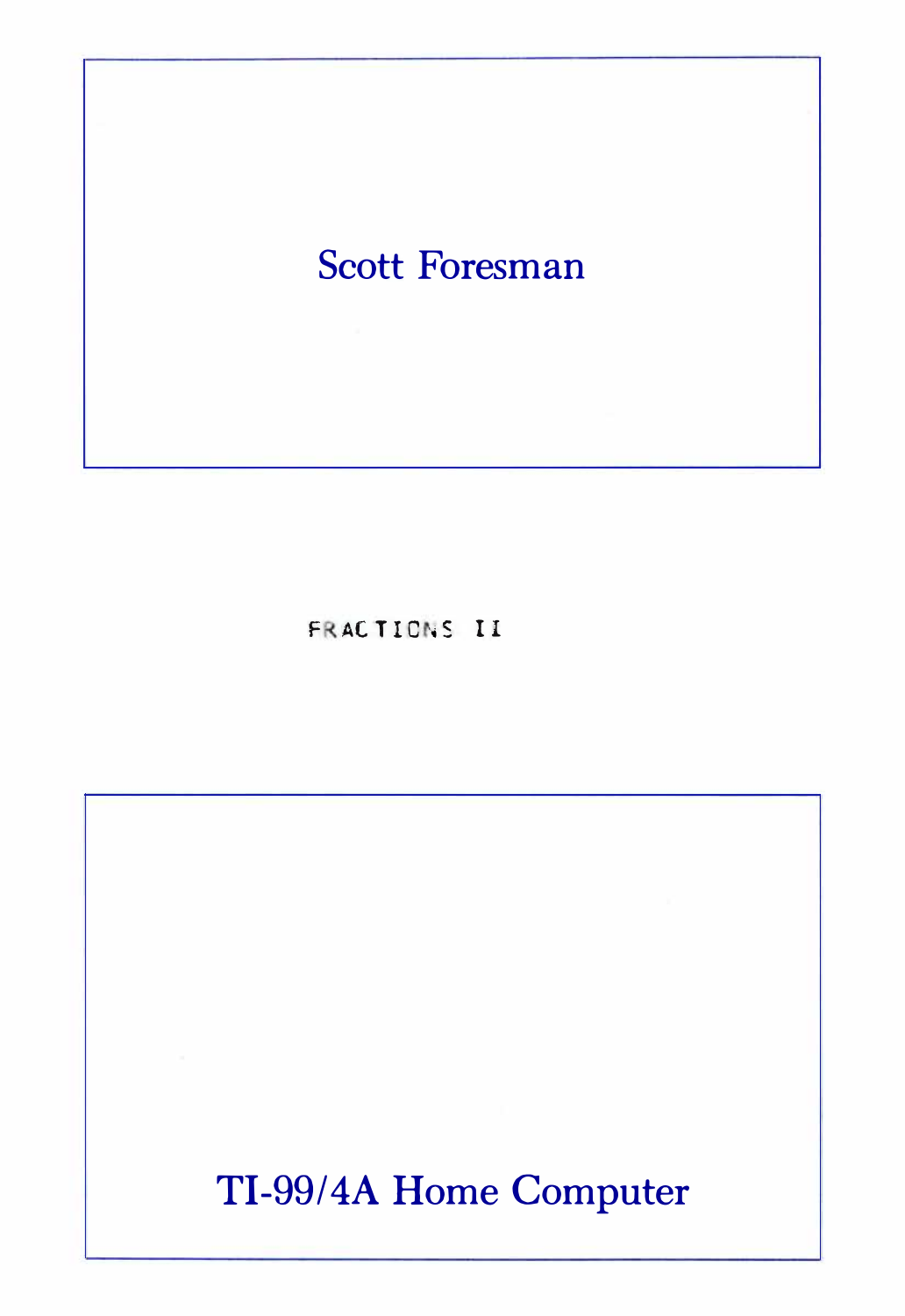# Scott Foresman

**FRACTIONS II** 

TI-99/4A Home Computer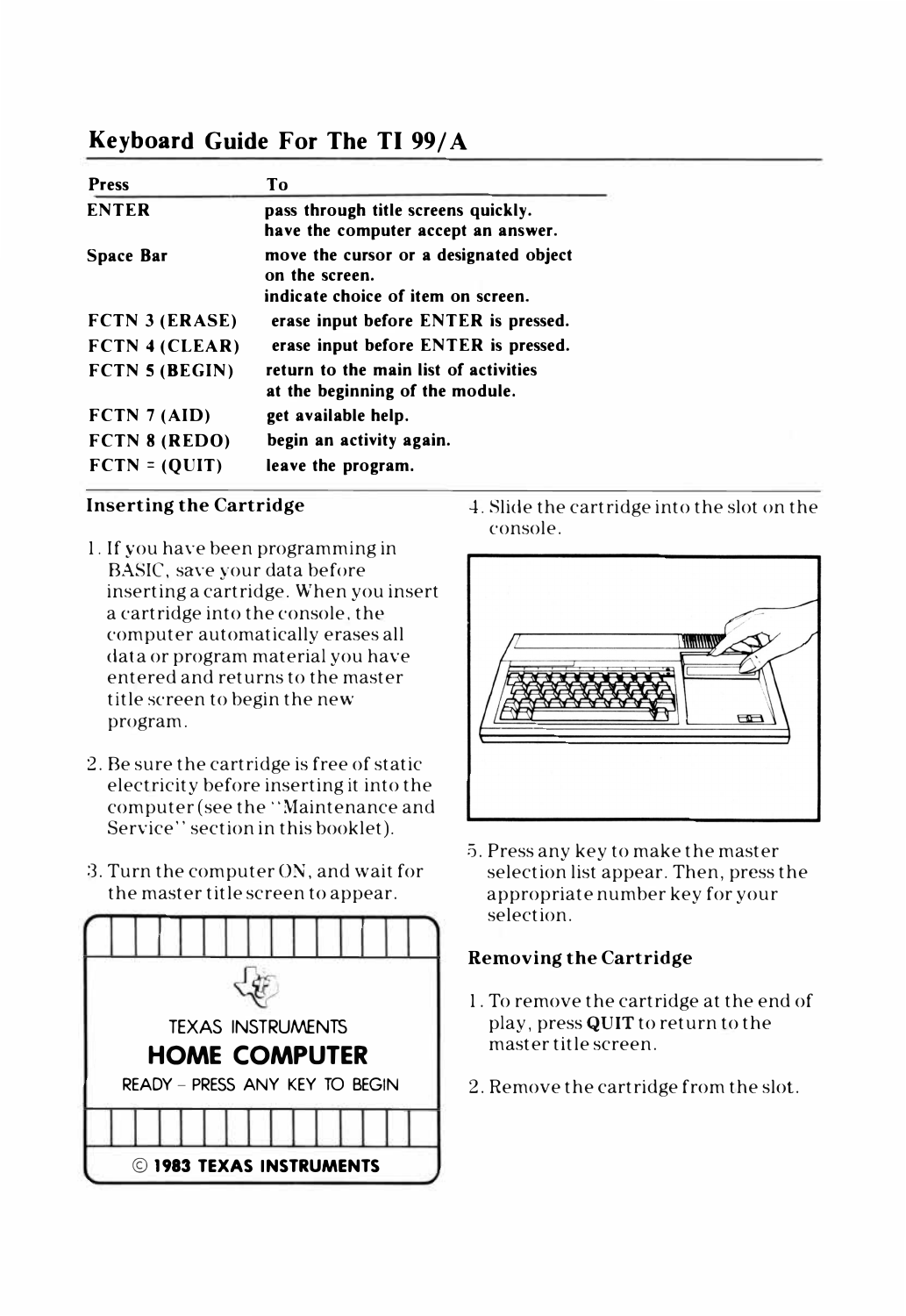# **Keyboard Guide For The TI 99/ A**

| <b>Press</b>          | Тo                                                                                             |
|-----------------------|------------------------------------------------------------------------------------------------|
| <b>ENTER</b>          | pass through title screens quickly.<br>have the computer accept an answer.                     |
| Space Bar             | move the cursor or a designated object<br>on the screen.<br>indicate choice of item on screen. |
| <b>FCTN 3 (ERASE)</b> | erase input before ENTER is pressed.                                                           |
| FCTN 4 (CLEAR)        | erase input before ENTER is pressed.                                                           |
| FCTN 5 (BEGIN)        | return to the main list of activities<br>at the beginning of the module.                       |
| FCTN 7 (AID)          | get available help.                                                                            |
| FCTN 8 (REDO)         | begin an activity again.                                                                       |
| $FCTN = (OUTT)$       | leave the program.                                                                             |
|                       |                                                                                                |

#### **Inserting the Cartridge**

- 1. If you have been programming in BASIC, save your data before inserting a cartridge. When you insert a cartridge into the console, the computer automatically erases all data or program material you have entered and returns to the master title screen to begin the new program.
- 2. Be sure the cartridge is free of static electricity before inserting it into the computer (see the "Maintenance and Service'' section in this booklet).
- 3. Turn the computer ON, and wait for the master title screen to appear.



4. Slide the cartridge into the slot on the console.



5. Press any key to make the master selection list appear. Then, press the appropriate number key for your selection.

#### **Removing the Cartridge**

- 1. To remove the cartridge at the end of play, press **QUIT** to return to the master title screen.
- 2. Remove the cartridge from the slot.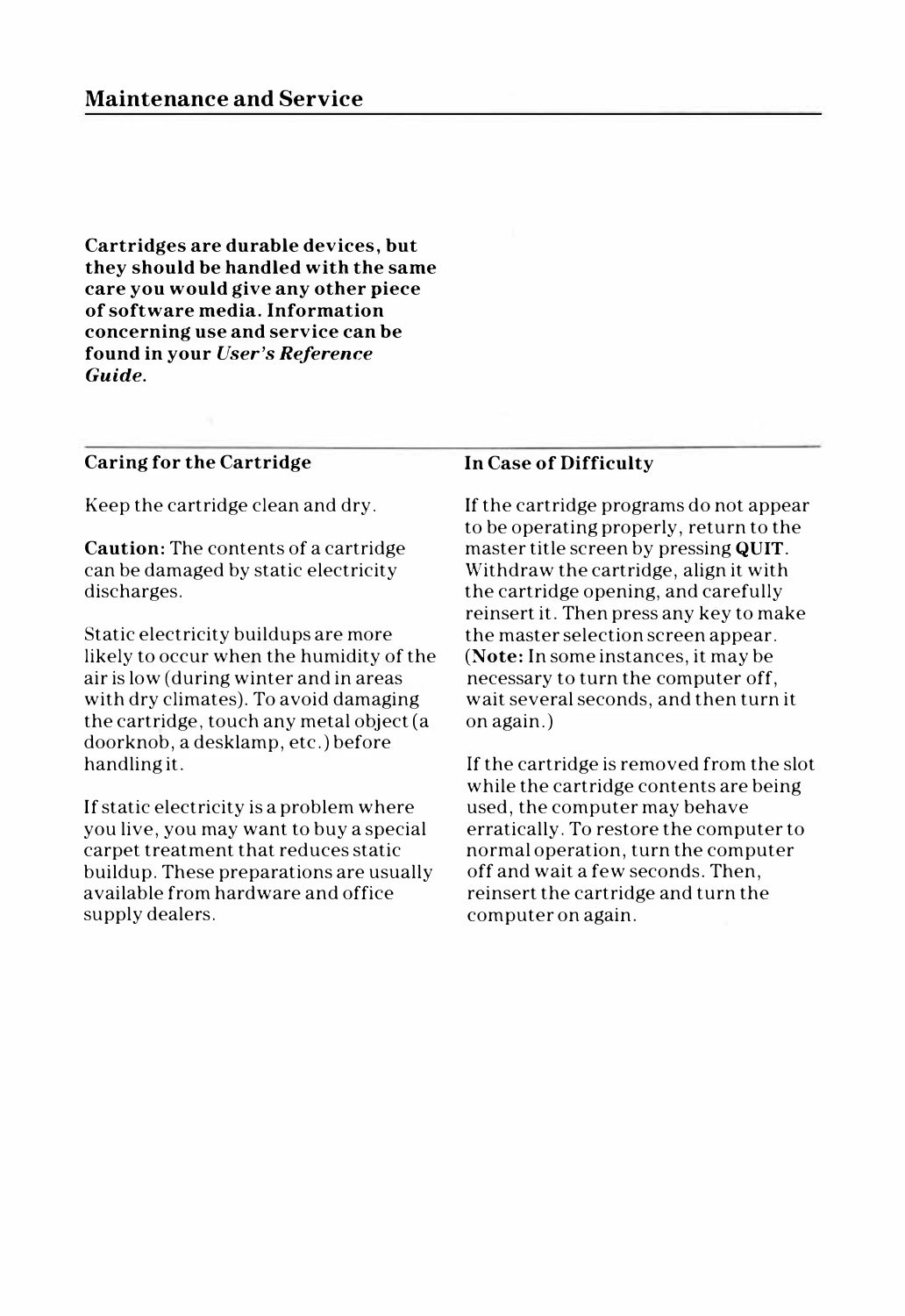**Cartridges are durable devices, but they should be handled with the same care you would give any other piece of software media. Information concerning use and service can be found in your** *User's Reference Guide.* 

#### **Caring for the Cartridge**

Keep the cartridge clean and dry.

**Caution:** The contents of a cartridge can be damaged by static electricity discharges.

Static electricity buildups are more likely to occur when the humidity of the air is low (during winter and in areas with dry climates). To avoid damaging the cartridge, touch any metal object (a doorknob, a desklamp, etc.) before handling it.

If static electricity is a problem where you live, you may want to buy a special carpet treatment that reduces static buildup. These preparations are usually available from hardware and office supply dealers.

#### **In Case of Difficulty**

If the cartridge programs do not appear to be operating properly, return to the master title screen by pressing **QUIT.**  Withdraw the cartridge, align it with the cartridge opening, and carefully reinsert it. Then press any key to make the master selection screen appear. **(Note:** In some instances, it may be necessary to turn the computer off, wait several seconds, and then turn it on again.)

If the cartridge is removed from the slot while the cartridge contents are being used, the computer may behave erratically. To restore the computer to normal operation, turn the computer off and wait a few seconds. Then, reinsert the cartridge and turn the computer on again.